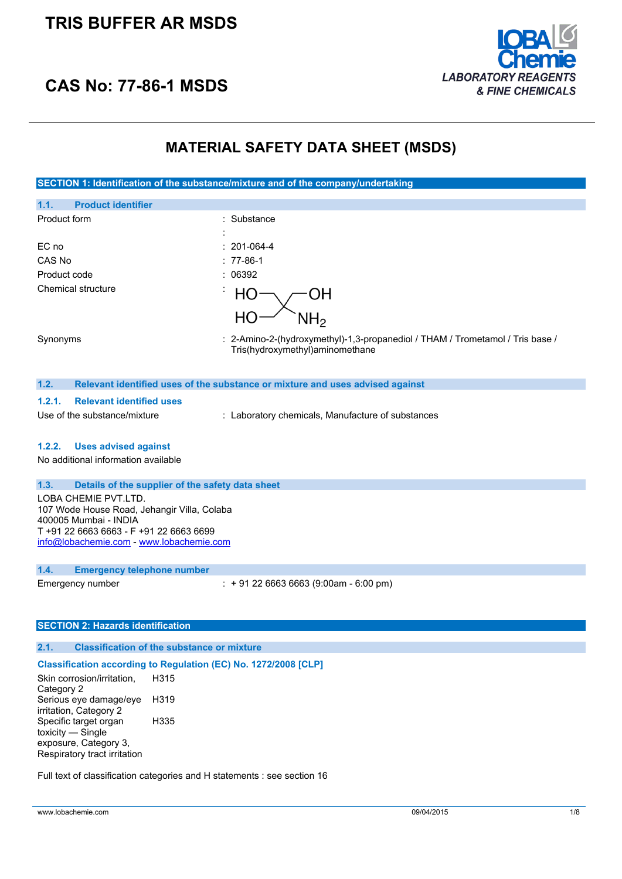## **TRIS BUFFER AR MSDS**



## **CAS No: 77-86-1 MSDS**

## **MATERIAL SAFETY DATA SHEET (MSDS)**

**SECTION 1: Identification of the substance/mixture and of the company/undertaking**

| 1.1.<br><b>Product identifier</b> |                                                                                                                  |
|-----------------------------------|------------------------------------------------------------------------------------------------------------------|
| Product form                      | : Substance<br>$\cdot$                                                                                           |
| EC no                             | $: 201-064-4$                                                                                                    |
| CAS No                            | $: 77-86-1$                                                                                                      |
| Product code                      | : 06392                                                                                                          |
| Chemical structure                | $\blacksquare$<br>ЭH<br>$H_2$                                                                                    |
|                                   |                                                                                                                  |
| Synonyms                          | : 2-Amino-2-(hydroxymethyl)-1,3-propanediol / THAM / Trometamol / Tris base /<br>Tris(hydroxymethyl)aminomethane |
|                                   |                                                                                                                  |

#### **1.2. Relevant identified uses of the substance or mixture and uses advised against**

### **1.2.1. Relevant identified uses**

Use of the substance/mixture : Laboratory chemicals, Manufacture of substances

### **1.2.2. Uses advised against**

No additional information available

### **1.3. Details of the supplier of the safety data sheet**

LOBA CHEMIE PVT.LTD. 107 Wode House Road, Jehangir Villa, Colaba 400005 Mumbai - INDIA T +91 22 6663 6663 - F +91 22 6663 6699 [info@lobachemie.com](mailto:info@lobachemie.com) - <www.lobachemie.com>

### **1.4. Emergency telephone number**

Emergency number : + 91 22 6663 6663 (9:00am - 6:00 pm)

### **SECTION 2: Hazards identification**

### **2.1. Classification of the substance or mixture**

#### **Classification according to Regulation (EC) No. 1272/2008 [CLP]**

Skin corrosion/irritation, Category 2 H315 Serious eye damage/eye irritation, Category 2 H319 Specific target organ toxicity — Single exposure, Category 3, Respiratory tract irritation H335

Full text of classification categories and H statements : see section 16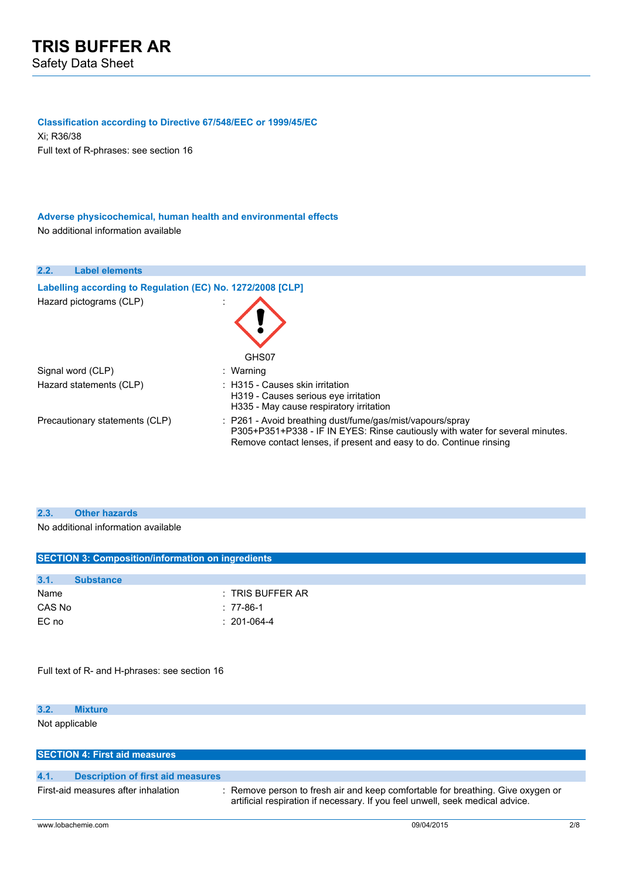### **Classification according to Directive 67/548/EEC or 1999/45/EC**

Xi; R36/38 Full text of R-phrases: see section 16

### **Adverse physicochemical, human health and environmental effects** No additional information available

### **2.2. Label elements**

| Labelling according to Regulation (EC) No. 1272/2008 [CLP] |                                                                                                                                                                                                                  |
|------------------------------------------------------------|------------------------------------------------------------------------------------------------------------------------------------------------------------------------------------------------------------------|
| Hazard pictograms (CLP)                                    | GHS07                                                                                                                                                                                                            |
| Signal word (CLP)                                          | : Warning                                                                                                                                                                                                        |
| Hazard statements (CLP)                                    | : H315 - Causes skin irritation<br>H319 - Causes serious eve irritation<br>H335 - May cause respiratory irritation                                                                                               |
| Precautionary statements (CLP)                             | : P261 - Avoid breathing dust/fume/gas/mist/vapours/spray<br>P305+P351+P338 - IF IN EYES: Rinse cautiously with water for several minutes.<br>Remove contact lenses, if present and easy to do. Continue rinsing |

### **2.3. Other hazards**

No additional information available

| <b>SECTION 3: Composition/information on ingredients</b> |                  |                    |  |  |
|----------------------------------------------------------|------------------|--------------------|--|--|
|                                                          |                  |                    |  |  |
| 3.1.                                                     | <b>Substance</b> |                    |  |  |
| Name                                                     |                  | $:$ TRIS BUFFER AR |  |  |
| CAS No                                                   |                  | $: 77-86-1$        |  |  |
| EC no                                                    |                  | $: 201-064-4$      |  |  |
|                                                          |                  |                    |  |  |
|                                                          |                  |                    |  |  |

Full text of R- and H-phrases: see section 16

### **3.2. Mixture**

Not applicable

| <b>SECTION 4: First aid measures</b>      |                                                                                                                                                                  |     |  |
|-------------------------------------------|------------------------------------------------------------------------------------------------------------------------------------------------------------------|-----|--|
|                                           |                                                                                                                                                                  |     |  |
| 4.1.<br>Description of first aid measures |                                                                                                                                                                  |     |  |
| First-aid measures after inhalation       | : Remove person to fresh air and keep comfortable for breathing. Give oxygen or<br>artificial respiration if necessary. If you feel unwell, seek medical advice. |     |  |
| www.lobachemie.com                        | 09/04/2015                                                                                                                                                       | 2/8 |  |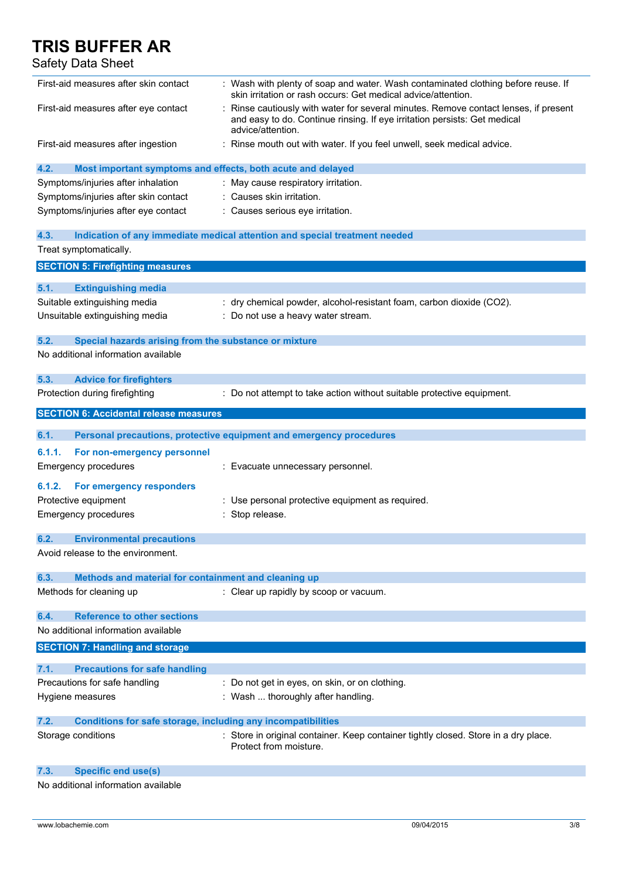## Safety Data Sheet

| First-aid measures after skin contact                                       | : Wash with plenty of soap and water. Wash contaminated clothing before reuse. If<br>skin irritation or rash occurs: Get medical advice/attention.                                   |
|-----------------------------------------------------------------------------|--------------------------------------------------------------------------------------------------------------------------------------------------------------------------------------|
| First-aid measures after eye contact                                        | Rinse cautiously with water for several minutes. Remove contact lenses, if present<br>and easy to do. Continue rinsing. If eye irritation persists: Get medical<br>advice/attention. |
| First-aid measures after ingestion                                          | : Rinse mouth out with water. If you feel unwell, seek medical advice.                                                                                                               |
| 4.2.<br>Most important symptoms and effects, both acute and delayed         |                                                                                                                                                                                      |
| Symptoms/injuries after inhalation                                          | : May cause respiratory irritation.                                                                                                                                                  |
| Symptoms/injuries after skin contact                                        | : Causes skin irritation.                                                                                                                                                            |
| Symptoms/injuries after eye contact                                         | : Causes serious eye irritation.                                                                                                                                                     |
| 4.3.                                                                        | Indication of any immediate medical attention and special treatment needed                                                                                                           |
| Treat symptomatically.                                                      |                                                                                                                                                                                      |
| <b>SECTION 5: Firefighting measures</b>                                     |                                                                                                                                                                                      |
| 5.1.<br><b>Extinguishing media</b>                                          |                                                                                                                                                                                      |
| Suitable extinguishing media                                                | : dry chemical powder, alcohol-resistant foam, carbon dioxide (CO2).                                                                                                                 |
| Unsuitable extinguishing media                                              | : Do not use a heavy water stream.                                                                                                                                                   |
| 5.2.<br>Special hazards arising from the substance or mixture               |                                                                                                                                                                                      |
| No additional information available                                         |                                                                                                                                                                                      |
| 5.3.<br><b>Advice for firefighters</b>                                      |                                                                                                                                                                                      |
| Protection during firefighting                                              | : Do not attempt to take action without suitable protective equipment.                                                                                                               |
| <b>SECTION 6: Accidental release measures</b>                               |                                                                                                                                                                                      |
| 6.1.                                                                        | Personal precautions, protective equipment and emergency procedures                                                                                                                  |
| 6.1.1.<br>For non-emergency personnel                                       |                                                                                                                                                                                      |
| <b>Emergency procedures</b>                                                 | : Evacuate unnecessary personnel.                                                                                                                                                    |
| For emergency responders<br>6.1.2.                                          |                                                                                                                                                                                      |
| Protective equipment                                                        | : Use personal protective equipment as required.                                                                                                                                     |
| <b>Emergency procedures</b>                                                 | Stop release.                                                                                                                                                                        |
| 6.2.<br><b>Environmental precautions</b>                                    |                                                                                                                                                                                      |
| Avoid release to the environment.                                           |                                                                                                                                                                                      |
| 6.3.<br>Methods and material for containment and cleaning up                |                                                                                                                                                                                      |
| Methods for cleaning up                                                     | : Clear up rapidly by scoop or vacuum.                                                                                                                                               |
| <b>Reference to other sections</b><br>6.4.                                  |                                                                                                                                                                                      |
| No additional information available                                         |                                                                                                                                                                                      |
| <b>SECTION 7: Handling and storage</b>                                      |                                                                                                                                                                                      |
| 7.1.<br><b>Precautions for safe handling</b>                                |                                                                                                                                                                                      |
| Precautions for safe handling                                               | : Do not get in eyes, on skin, or on clothing.                                                                                                                                       |
| Hygiene measures                                                            | : Wash  thoroughly after handling.                                                                                                                                                   |
| 7.2.<br><b>Conditions for safe storage, including any incompatibilities</b> |                                                                                                                                                                                      |
| Storage conditions                                                          | : Store in original container. Keep container tightly closed. Store in a dry place.<br>Protect from moisture.                                                                        |
| <b>Specific end use(s)</b><br>7.3.                                          |                                                                                                                                                                                      |
| No additional information available                                         |                                                                                                                                                                                      |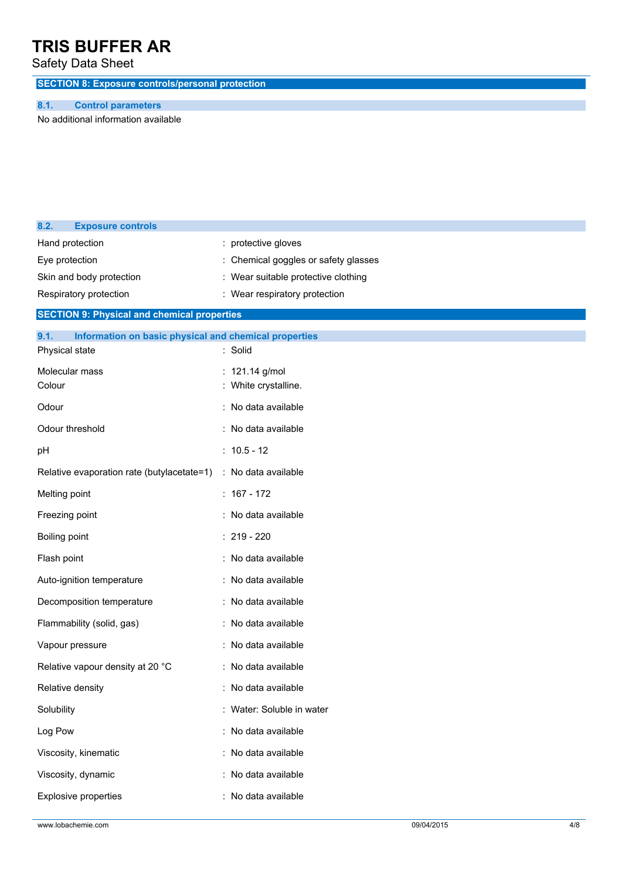## Safety Data Sheet

**SECTION 8: Exposure controls/personal protection**

### **8.1. Control parameters**

No additional information available

| 8.2.          | <b>Exposure controls</b>                              |                                    |
|---------------|-------------------------------------------------------|------------------------------------|
|               | Hand protection                                       | : protective gloves                |
|               | Eye protection                                        | Chemical goggles or safety glasses |
|               | Skin and body protection                              | Wear suitable protective clothing  |
|               | Respiratory protection                                | : Wear respiratory protection      |
|               | <b>SECTION 9: Physical and chemical properties</b>    |                                    |
| 9.1.          | Information on basic physical and chemical properties |                                    |
|               | Physical state                                        | : Solid                            |
|               | Molecular mass                                        | : 121.14 g/mol                     |
| Colour        |                                                       | White crystalline.                 |
| Odour         |                                                       | : No data available                |
|               | Odour threshold                                       | : No data available                |
| pH            |                                                       | $: 10.5 - 12$                      |
|               | Relative evaporation rate (butylacetate=1)            | : No data available                |
|               | Melting point                                         | $: 167 - 172$                      |
|               | Freezing point                                        | : No data available                |
| Boiling point |                                                       | $: 219 - 220$                      |
| Flash point   |                                                       | No data available                  |
|               | Auto-ignition temperature                             | : No data available                |
|               | Decomposition temperature                             | : No data available                |
|               | Flammability (solid, gas)                             | : No data available                |
|               | Vapour pressure                                       | : No data available                |
|               | Relative vapour density at 20 °C                      | : No data available                |
|               | Relative density                                      | : No data available                |
| Solubility    |                                                       | : Water: Soluble in water          |
| Log Pow       |                                                       | : No data available                |
|               | Viscosity, kinematic                                  | No data available                  |
|               | Viscosity, dynamic                                    | : No data available                |
|               | <b>Explosive properties</b>                           | : No data available                |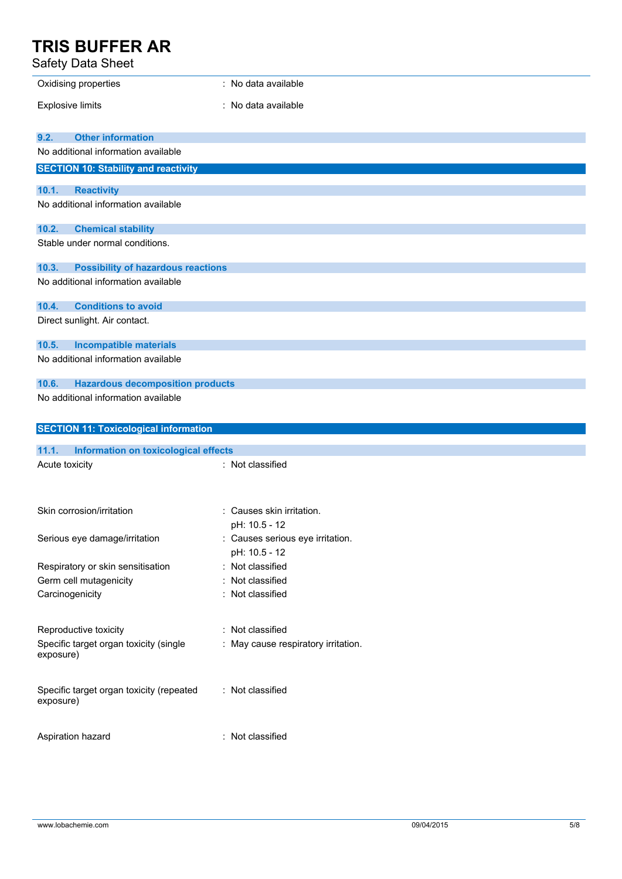Safety Data Sheet

| Oxidising properties                                  | : No data available                 |
|-------------------------------------------------------|-------------------------------------|
| <b>Explosive limits</b>                               | : No data available                 |
|                                                       |                                     |
| <b>Other information</b><br>9.2.                      |                                     |
| No additional information available                   |                                     |
| <b>SECTION 10: Stability and reactivity</b>           |                                     |
| 10.1.<br><b>Reactivity</b>                            |                                     |
| No additional information available                   |                                     |
| 10.2.<br><b>Chemical stability</b>                    |                                     |
| Stable under normal conditions.                       |                                     |
| <b>Possibility of hazardous reactions</b><br>10.3.    |                                     |
| No additional information available                   |                                     |
| 10.4.<br><b>Conditions to avoid</b>                   |                                     |
| Direct sunlight. Air contact.                         |                                     |
| 10.5.<br><b>Incompatible materials</b>                |                                     |
| No additional information available                   |                                     |
| <b>Hazardous decomposition products</b><br>10.6.      |                                     |
| No additional information available                   |                                     |
|                                                       |                                     |
| <b>SECTION 11: Toxicological information</b>          |                                     |
|                                                       |                                     |
| 11.1.<br>Information on toxicological effects         |                                     |
| Acute toxicity                                        | : Not classified                    |
| Skin corrosion/irritation                             | : Causes skin irritation.           |
|                                                       | pH: 10.5 - 12                       |
| Serious eye damage/irritation                         | : Causes serious eye irritation.    |
|                                                       | pH: 10.5 - 12                       |
| Respiratory or skin sensitisation                     | : Not classified                    |
| Germ cell mutagenicity                                | : Not classified                    |
| Carcinogenicity                                       | : Not classified                    |
| Reproductive toxicity                                 | : Not classified                    |
| Specific target organ toxicity (single<br>exposure)   | : May cause respiratory irritation. |
| Specific target organ toxicity (repeated<br>exposure) | : Not classified                    |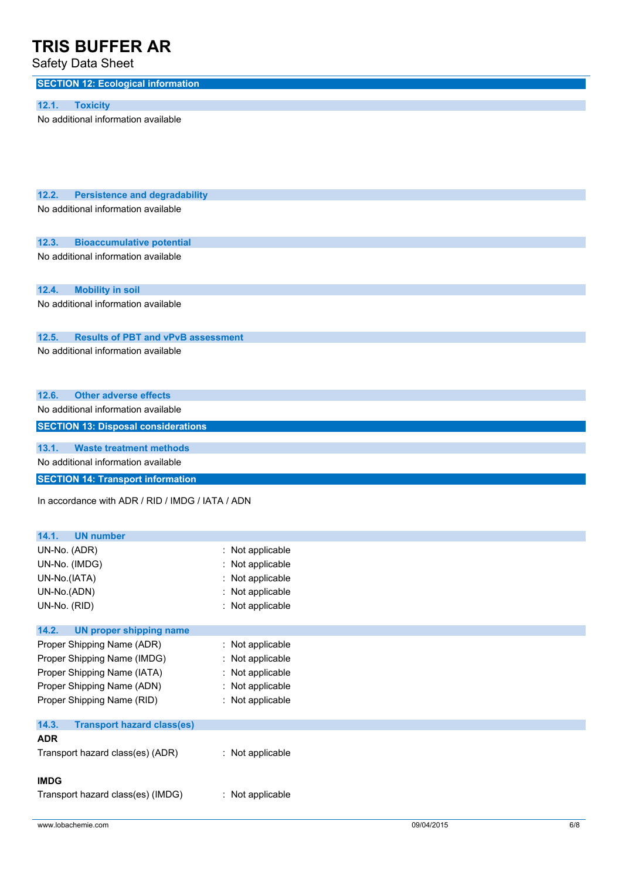Safety Data Sheet

| υαινιγ υαια υπννι                                                       |                                    |
|-------------------------------------------------------------------------|------------------------------------|
| <b>SECTION 12: Ecological information</b>                               |                                    |
| 12.1.<br><b>Toxicity</b>                                                |                                    |
| No additional information available                                     |                                    |
|                                                                         |                                    |
|                                                                         |                                    |
|                                                                         |                                    |
|                                                                         |                                    |
| 12.2.<br><b>Persistence and degradability</b>                           |                                    |
| No additional information available                                     |                                    |
|                                                                         |                                    |
| 12.3.<br><b>Bioaccumulative potential</b>                               |                                    |
| No additional information available                                     |                                    |
|                                                                         |                                    |
|                                                                         |                                    |
| 12.4.<br><b>Mobility in soil</b><br>No additional information available |                                    |
|                                                                         |                                    |
|                                                                         |                                    |
| 12.5.<br><b>Results of PBT and vPvB assessment</b>                      |                                    |
| No additional information available                                     |                                    |
|                                                                         |                                    |
| <b>Other adverse effects</b><br>12.6.                                   |                                    |
| No additional information available                                     |                                    |
| <b>SECTION 13: Disposal considerations</b>                              |                                    |
|                                                                         |                                    |
|                                                                         |                                    |
| <b>Waste treatment methods</b><br>13.1.                                 |                                    |
| No additional information available                                     |                                    |
| <b>SECTION 14: Transport information</b>                                |                                    |
| In accordance with ADR / RID / IMDG / IATA / ADN                        |                                    |
|                                                                         |                                    |
|                                                                         |                                    |
| 14.1.<br><b>UN</b> number                                               |                                    |
| UN-No. (ADR)                                                            | Not applicable                     |
| UN-No. (IMDG)<br>UN-No.(IATA)                                           | Not applicable<br>Not applicable   |
| UN-No.(ADN)                                                             | : Not applicable                   |
| UN-No. (RID)                                                            | : Not applicable                   |
|                                                                         |                                    |
| 14.2.<br><b>UN proper shipping name</b>                                 |                                    |
| Proper Shipping Name (ADR)                                              | : Not applicable                   |
| Proper Shipping Name (IMDG)                                             | Not applicable                     |
| Proper Shipping Name (IATA)                                             | Not applicable                     |
| Proper Shipping Name (ADN)<br>Proper Shipping Name (RID)                | Not applicable<br>: Not applicable |
|                                                                         |                                    |
| 14.3.<br><b>Transport hazard class(es)</b>                              |                                    |
| <b>ADR</b>                                                              |                                    |
| Transport hazard class(es) (ADR)                                        | : Not applicable                   |

Transport hazard class(es) (IMDG) : Not applicable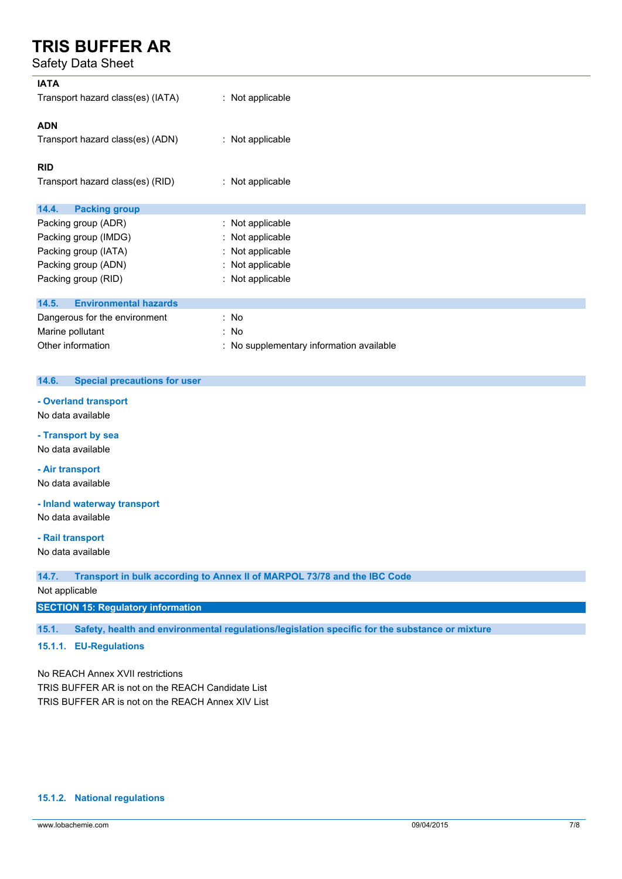Safety Data Sheet

| <b>IATA</b><br>Transport hazard class(es) (IATA) | : Not applicable                         |
|--------------------------------------------------|------------------------------------------|
| <b>ADN</b><br>Transport hazard class(es) (ADN)   | : Not applicable                         |
| <b>RID</b>                                       |                                          |
| Transport hazard class(es) (RID)                 | : Not applicable                         |
| 14.4.<br><b>Packing group</b>                    |                                          |
| Packing group (ADR)                              | : Not applicable                         |
|                                                  |                                          |
| Packing group (IMDG)                             | : Not applicable                         |
| Packing group (IATA)                             | : Not applicable                         |
| Packing group (ADN)                              | : Not applicable                         |
| Packing group (RID)                              | : Not applicable                         |
| <b>Environmental hazards</b><br>14.5.            |                                          |
| Dangerous for the environment                    | : No                                     |
| Marine pollutant                                 | : No                                     |
| Other information                                |                                          |
|                                                  | : No supplementary information available |

### **14.6. Special precautions for user**

#### **- Overland transport**

No data available

**- Transport by sea** No data available

**- Air transport** No data available

**- Inland waterway transport**

No data available

#### **- Rail transport**

No data available

**14.7. Transport in bulk according to Annex II of MARPOL 73/78 and the IBC Code**

Not applicable

### **SECTION 15: Regulatory information**

**15.1. Safety, health and environmental regulations/legislation specific for the substance or mixture**

### **15.1.1. EU-Regulations**

No REACH Annex XVII restrictions TRIS BUFFER AR is not on the REACH Candidate List TRIS BUFFER AR is not on the REACH Annex XIV List

### **15.1.2. National regulations**